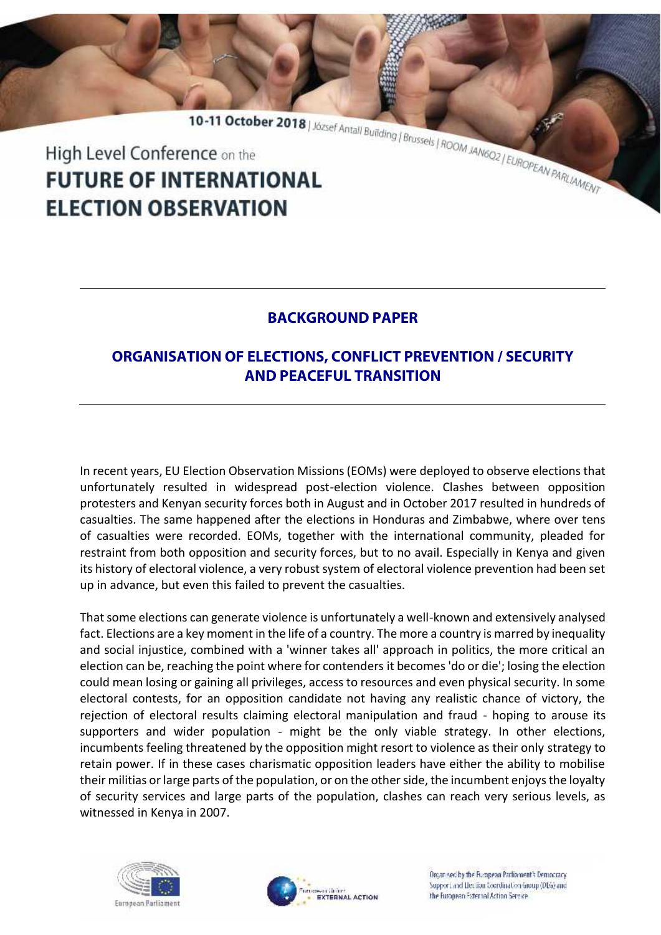10-11 October 2018 | József Antall Building | Brussels | ROOM JANGO2 | EUROPEAN PARLAMENT High Level Conference on the **FUTURE OF INTERNATIONAL ELECTION OBSERVATION** 

## **BACKGROUND PAPER**

## **ORGANISATION OF ELECTIONS, CONFLICT PREVENTION / SECURITY AND PEACEFUL TRANSITION**

In recent years, EU Election Observation Missions (EOMs) were deployed to observe elections that unfortunately resulted in widespread post-election violence. Clashes between opposition protesters and Kenyan security forces both in August and in October 2017 resulted in hundreds of casualties. The same happened after the elections in Honduras and Zimbabwe, where over tens of casualties were recorded. EOMs, together with the international community, pleaded for restraint from both opposition and security forces, but to no avail. Especially in Kenya and given its history of electoral violence, a very robust system of electoral violence prevention had been set up in advance, but even this failed to prevent the casualties.

That some elections can generate violence is unfortunately a well-known and extensively analysed fact. Elections are a key moment in the life of a country. The more a country is marred by inequality and social injustice, combined with a 'winner takes all' approach in politics, the more critical an election can be, reaching the point where for contenders it becomes 'do or die'; losing the election could mean losing or gaining all privileges, access to resources and even physical security. In some electoral contests, for an opposition candidate not having any realistic chance of victory, the rejection of electoral results claiming electoral manipulation and fraud - hoping to arouse its supporters and wider population - might be the only viable strategy. In other elections, incumbents feeling threatened by the opposition might resort to violence as their only strategy to retain power. If in these cases charismatic opposition leaders have either the ability to mobilise their militias or large parts of the population, or on the other side, the incumbent enjoys the loyalty of security services and large parts of the population, clashes can reach very serious levels, as witnessed in Kenya in 2007.





Organised by the European Parliament's Democracy. Support and Liection Coordination Group (DEG) and the Euronean External Action Service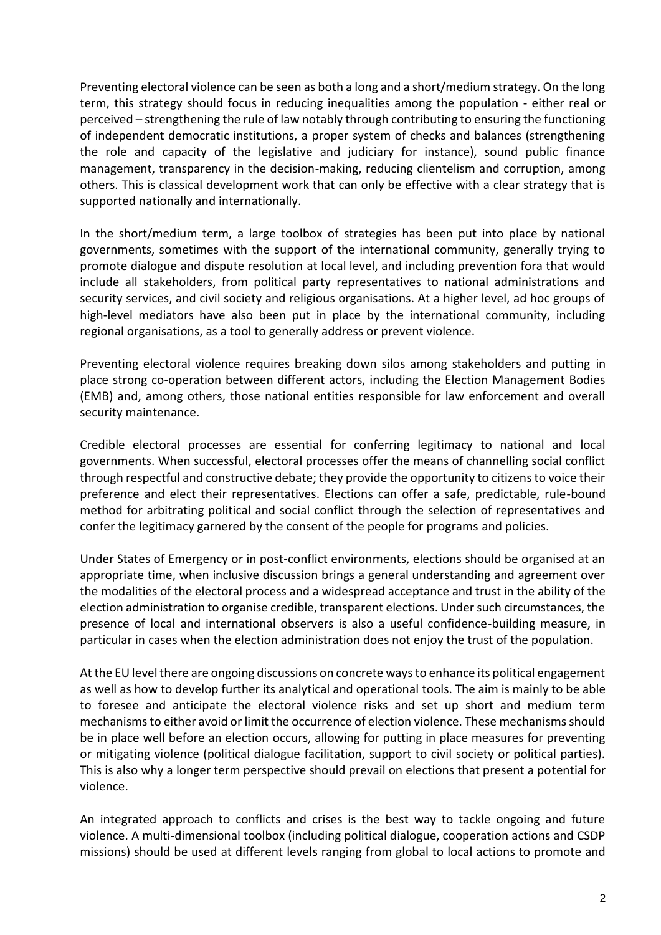Preventing electoral violence can be seen as both a long and a short/medium strategy. On the long term, this strategy should focus in reducing inequalities among the population - either real or perceived – strengthening the rule of law notably through contributing to ensuring the functioning of independent democratic institutions, a proper system of checks and balances (strengthening the role and capacity of the legislative and judiciary for instance), sound public finance management, transparency in the decision-making, reducing clientelism and corruption, among others. This is classical development work that can only be effective with a clear strategy that is supported nationally and internationally.

In the short/medium term, a large toolbox of strategies has been put into place by national governments, sometimes with the support of the international community, generally trying to promote dialogue and dispute resolution at local level, and including prevention fora that would include all stakeholders, from political party representatives to national administrations and security services, and civil society and religious organisations. At a higher level, ad hoc groups of high-level mediators have also been put in place by the international community, including regional organisations, as a tool to generally address or prevent violence.

Preventing electoral violence requires breaking down silos among stakeholders and putting in place strong co-operation between different actors, including the Election Management Bodies (EMB) and, among others, those national entities responsible for law enforcement and overall security maintenance.

Credible electoral processes are essential for conferring legitimacy to national and local governments. When successful, electoral processes offer the means of channelling social conflict through respectful and constructive debate; they provide the opportunity to citizens to voice their preference and elect their representatives. Elections can offer a safe, predictable, rule-bound method for arbitrating political and social conflict through the selection of representatives and confer the legitimacy garnered by the consent of the people for programs and policies.

Under States of Emergency or in post-conflict environments, elections should be organised at an appropriate time, when inclusive discussion brings a general understanding and agreement over the modalities of the electoral process and a widespread acceptance and trust in the ability of the election administration to organise credible, transparent elections. Under such circumstances, the presence of local and international observers is also a useful confidence-building measure, in particular in cases when the election administration does not enjoy the trust of the population.

At the EU level there are ongoing discussions on concrete ways to enhance its political engagement as well as how to develop further its analytical and operational tools. The aim is mainly to be able to foresee and anticipate the electoral violence risks and set up short and medium term mechanisms to either avoid or limit the occurrence of election violence. These mechanisms should be in place well before an election occurs, allowing for putting in place measures for preventing or mitigating violence (political dialogue facilitation, support to civil society or political parties). This is also why a longer term perspective should prevail on elections that present a potential for violence.

An integrated approach to conflicts and crises is the best way to tackle ongoing and future violence. A multi-dimensional toolbox (including political dialogue, cooperation actions and CSDP missions) should be used at different levels ranging from global to local actions to promote and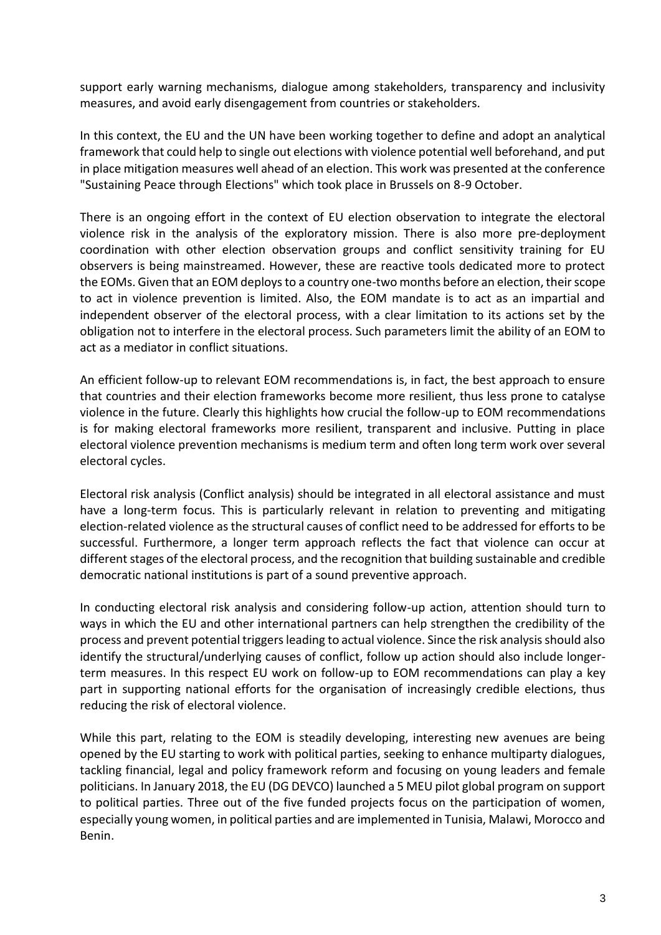support early warning mechanisms, dialogue among stakeholders, transparency and inclusivity measures, and avoid early disengagement from countries or stakeholders.

In this context, the EU and the UN have been working together to define and adopt an analytical framework that could help to single out elections with violence potential well beforehand, and put in place mitigation measures well ahead of an election. This work was presented at the conference "Sustaining Peace through Elections" which took place in Brussels on 8-9 October.

There is an ongoing effort in the context of EU election observation to integrate the electoral violence risk in the analysis of the exploratory mission. There is also more pre-deployment coordination with other election observation groups and conflict sensitivity training for EU observers is being mainstreamed. However, these are reactive tools dedicated more to protect the EOMs. Given that an EOM deploys to a country one-two months before an election, their scope to act in violence prevention is limited. Also, the EOM mandate is to act as an impartial and independent observer of the electoral process, with a clear limitation to its actions set by the obligation not to interfere in the electoral process. Such parameters limit the ability of an EOM to act as a mediator in conflict situations.

An efficient follow-up to relevant EOM recommendations is, in fact, the best approach to ensure that countries and their election frameworks become more resilient, thus less prone to catalyse violence in the future. Clearly this highlights how crucial the follow-up to EOM recommendations is for making electoral frameworks more resilient, transparent and inclusive. Putting in place electoral violence prevention mechanisms is medium term and often long term work over several electoral cycles.

Electoral risk analysis (Conflict analysis) should be integrated in all electoral assistance and must have a long-term focus. This is particularly relevant in relation to preventing and mitigating election-related violence as the structural causes of conflict need to be addressed for efforts to be successful. Furthermore, a longer term approach reflects the fact that violence can occur at different stages of the electoral process, and the recognition that building sustainable and credible democratic national institutions is part of a sound preventive approach.

In conducting electoral risk analysis and considering follow-up action, attention should turn to ways in which the EU and other international partners can help strengthen the credibility of the process and prevent potential triggers leading to actual violence. Since the risk analysis should also identify the structural/underlying causes of conflict, follow up action should also include longer term measures. In this respect EU work on follow-up to EOM recommendations can play a key part in supporting national efforts for the organisation of increasingly credible elections, thus reducing the risk of electoral violence.

While this part, relating to the EOM is steadily developing, interesting new avenues are being opened by the EU starting to work with political parties, seeking to enhance multiparty dialogues, tackling financial, legal and policy framework reform and focusing on young leaders and female politicians. In January 2018, the EU (DG DEVCO) launched a 5 MEU pilot global program on support to political parties. Three out of the five funded projects focus on the participation of women, especially young women, in political parties and are implemented in Tunisia, Malawi, Morocco and Benin.